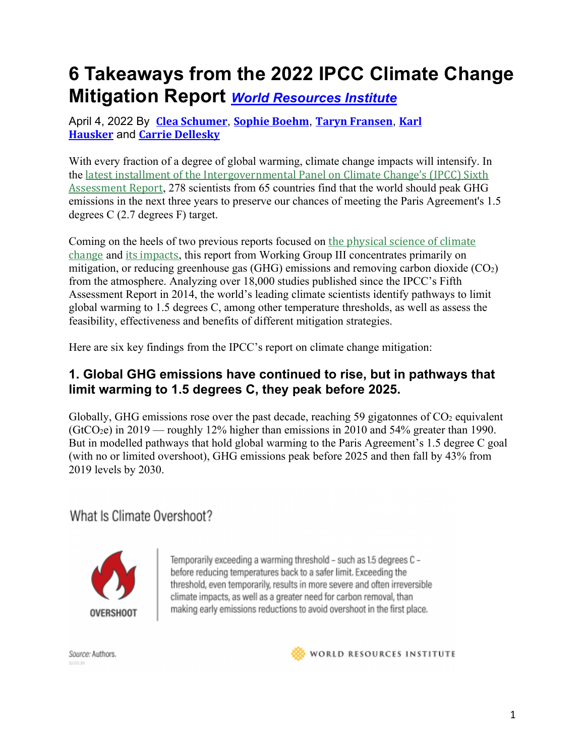# **6 Takeaways from the 2022 IPCC Climate Change Mitigation Report** *World Resources Institute*

April 4, 2022 By *Clea Schumer*, *Sophie Boehm*, *Taryn Fransen*, *Karl* **Hausker** and **Carrie Dellesky** 

With every fraction of a degree of global warming, climate change impacts will intensify. In the latest installment of the Intergovernmental Panel on Climate Change's (IPCC) Sixth Assessment Report, 278 scientists from 65 countries find that the world should peak GHG emissions in the next three years to preserve our chances of meeting the Paris Agreement's 1.5 degrees C (2.7 degrees F) target.

Coming on the heels of two previous reports focused on the physical science of climate change and its impacts, this report from Working Group III concentrates primarily on mitigation, or reducing greenhouse gas (GHG) emissions and removing carbon dioxide  $(CO<sub>2</sub>)$ from the atmosphere. Analyzing over 18,000 studies published since the IPCC's Fifth Assessment Report in 2014, the world's leading climate scientists identify pathways to limit global warming to 1.5 degrees C, among other temperature thresholds, as well as assess the feasibility, effectiveness and benefits of different mitigation strategies.

Here are six key findings from the IPCC's report on climate change mitigation:

# **1. Global GHG emissions have continued to rise, but in pathways that limit warming to 1.5 degrees C, they peak before 2025.**

Globally, GHG emissions rose over the past decade, reaching 59 gigatonnes of  $CO<sub>2</sub>$  equivalent  $(GtCO<sub>2</sub>e)$  in 2019 — roughly 12% higher than emissions in 2010 and 54% greater than 1990. But in modelled pathways that hold global warming to the Paris Agreement's 1.5 degree C goal (with no or limited overshoot), GHG emissions peak before 2025 and then fall by 43% from 2019 levels by 2030.

What Is Climate Overshoot?



Temporarily exceeding a warming threshold - such as 1.5 degrees C before reducing temperatures back to a safer limit. Exceeding the threshold, even temporarily, results in more severe and often irreversible climate impacts, as well as a greater need for carbon removal, than making early emissions reductions to avoid overshoot in the first place.

Source: Authors. 22.03.30

WORLD RESOURCES INSTITUTE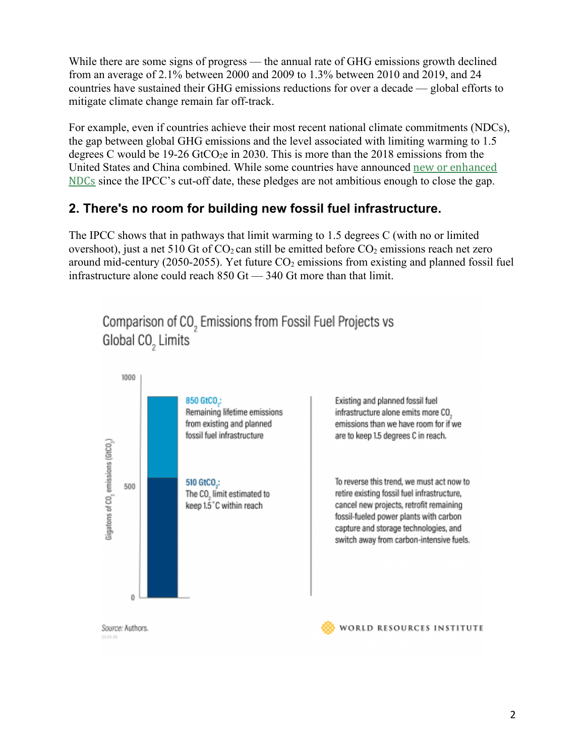While there are some signs of progress — the annual rate of GHG emissions growth declined from an average of 2.1% between 2000 and 2009 to 1.3% between 2010 and 2019, and 24 countries have sustained their GHG emissions reductions for over a decade — global efforts to mitigate climate change remain far off-track.

For example, even if countries achieve their most recent national climate commitments (NDCs), the gap between global GHG emissions and the level associated with limiting warming to 1.5 degrees C would be  $19-26$  GtCO<sub>2</sub>e in 2030. This is more than the 2018 emissions from the United States and China combined. While some countries have announced new or enhanced NDCs since the IPCC's cut-off date, these pledges are not ambitious enough to close the gap.

### **2. There's no room for building new fossil fuel infrastructure.**

The IPCC shows that in pathways that limit warming to 1.5 degrees C (with no or limited overshoot), just a net 510 Gt of  $CO_2$  can still be emitted before  $CO_2$  emissions reach net zero around mid-century (2050-2055). Yet future  $CO<sub>2</sub>$  emissions from existing and planned fossil fuel infrastructure alone could reach 850 Gt — 340 Gt more than that limit.

Comparison of CO<sub>2</sub> Emissions from Fossil Fuel Projects vs Global CO<sub>2</sub> Limits

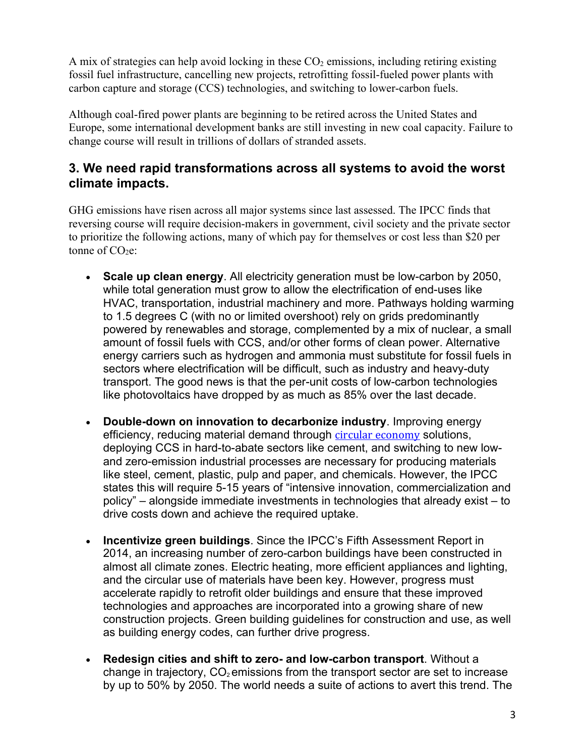A mix of strategies can help avoid locking in these  $CO<sub>2</sub>$  emissions, including retiring existing fossil fuel infrastructure, cancelling new projects, retrofitting fossil-fueled power plants with carbon capture and storage (CCS) technologies, and switching to lower-carbon fuels.

Although coal-fired power plants are beginning to be retired across the United States and Europe, some international development banks are still investing in new coal capacity. Failure to change course will result in trillions of dollars of stranded assets.

#### **3. We need rapid transformations across all systems to avoid the worst climate impacts.**

GHG emissions have risen across all major systems since last assessed. The IPCC finds that reversing course will require decision-makers in government, civil society and the private sector to prioritize the following actions, many of which pay for themselves or cost less than \$20 per tonne of  $CO<sub>2</sub>e$ :

- **Scale up clean energy**. All electricity generation must be low-carbon by 2050, while total generation must grow to allow the electrification of end-uses like HVAC, transportation, industrial machinery and more. Pathways holding warming to 1.5 degrees C (with no or limited overshoot) rely on grids predominantly powered by renewables and storage, complemented by a mix of nuclear, a small amount of fossil fuels with CCS, and/or other forms of clean power. Alternative energy carriers such as hydrogen and ammonia must substitute for fossil fuels in sectors where electrification will be difficult, such as industry and heavy-duty transport. The good news is that the per-unit costs of low-carbon technologies like photovoltaics have dropped by as much as 85% over the last decade.
- **Double-down on innovation to decarbonize industry**. Improving energy efficiency, reducing material demand through circular economy solutions, deploying CCS in hard-to-abate sectors like cement, and switching to new lowand zero-emission industrial processes are necessary for producing materials like steel, cement, plastic, pulp and paper, and chemicals. However, the IPCC states this will require 5-15 years of "intensive innovation, commercialization and policy" – alongside immediate investments in technologies that already exist – to drive costs down and achieve the required uptake.
- **Incentivize green buildings**. Since the IPCC's Fifth Assessment Report in 2014, an increasing number of zero-carbon buildings have been constructed in almost all climate zones. Electric heating, more efficient appliances and lighting, and the circular use of materials have been key. However, progress must accelerate rapidly to retrofit older buildings and ensure that these improved technologies and approaches are incorporated into a growing share of new construction projects. Green building guidelines for construction and use, as well as building energy codes, can further drive progress.
- **Redesign cities and shift to zero- and low-carbon transport**. Without a change in trajectory,  $CO<sub>2</sub>$  emissions from the transport sector are set to increase by up to 50% by 2050. The world needs a suite of actions to avert this trend. The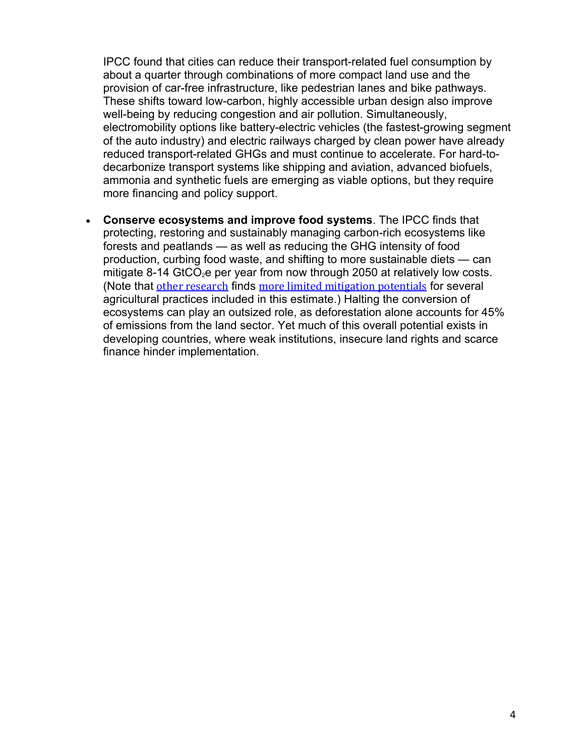IPCC found that cities can reduce their transport-related fuel consumption by about a quarter through combinations of more compact land use and the provision of car-free infrastructure, like pedestrian lanes and bike pathways. These shifts toward low-carbon, highly accessible urban design also improve well-being by reducing congestion and air pollution. Simultaneously, electromobility options like battery-electric vehicles (the fastest-growing segment of the auto industry) and electric railways charged by clean power have already reduced transport-related GHGs and must continue to accelerate. For hard-todecarbonize transport systems like shipping and aviation, advanced biofuels, ammonia and synthetic fuels are emerging as viable options, but they require more financing and policy support.

• **Conserve ecosystems and improve food systems**. The IPCC finds that protecting, restoring and sustainably managing carbon-rich ecosystems like forests and peatlands — as well as reducing the GHG intensity of food production, curbing food waste, and shifting to more sustainable diets — can mitigate 8-14 GtCO<sub>2</sub>e per year from now through 2050 at relatively low costs. (Note that other research finds more limited mitigation potentials for several agricultural practices included in this estimate.) Halting the conversion of ecosystems can play an outsized role, as deforestation alone accounts for 45% of emissions from the land sector. Yet much of this overall potential exists in developing countries, where weak institutions, insecure land rights and scarce finance hinder implementation.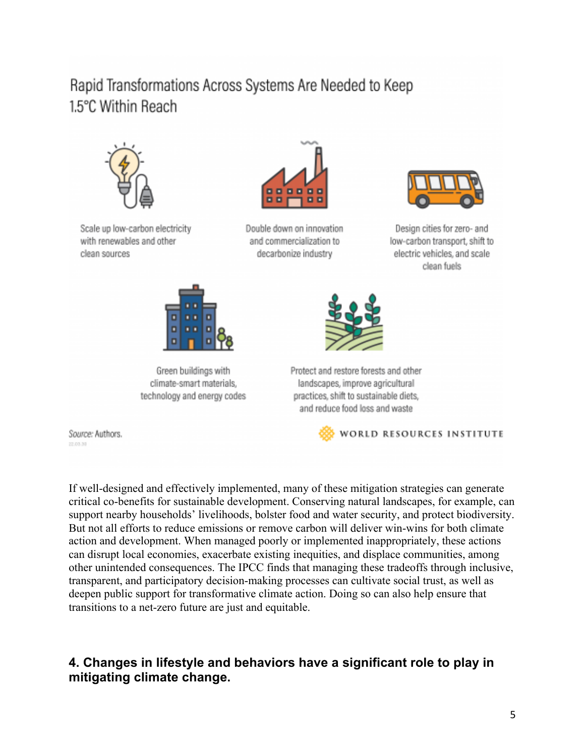# Rapid Transformations Across Systems Are Needed to Keep 1.5°C Within Reach



Scale up low-carbon electricity with renewables and other clean sources



Green buildings with climate-smart materials. technology and energy codes



Double down on innovation and commercialization to decarbonize industry



Design cities for zero- and low-carbon transport, shift to electric vehicles, and scale clean fuels



Protect and restore forests and other landscapes, improve agricultural practices, shift to sustainable diets. and reduce food loss and waste



Source: Authors. 22.03.30

If well-designed and effectively implemented, many of these mitigation strategies can generate critical co-benefits for sustainable development. Conserving natural landscapes, for example, can support nearby households' livelihoods, bolster food and water security, and protect biodiversity. But not all efforts to reduce emissions or remove carbon will deliver win-wins for both climate action and development. When managed poorly or implemented inappropriately, these actions can disrupt local economies, exacerbate existing inequities, and displace communities, among other unintended consequences. The IPCC finds that managing these tradeoffs through inclusive, transparent, and participatory decision-making processes can cultivate social trust, as well as deepen public support for transformative climate action. Doing so can also help ensure that transitions to a net-zero future are just and equitable.

# **4. Changes in lifestyle and behaviors have a significant role to play in mitigating climate change.**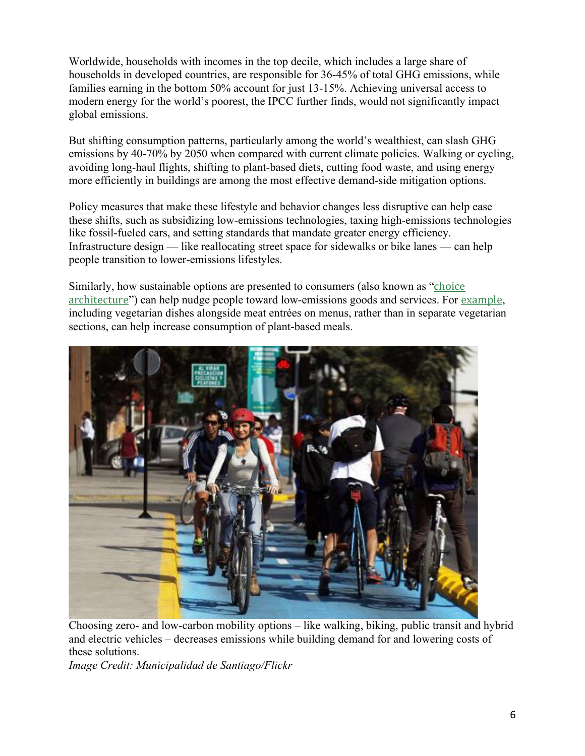Worldwide, households with incomes in the top decile, which includes a large share of households in developed countries, are responsible for 36-45% of total GHG emissions, while families earning in the bottom 50% account for just 13-15%. Achieving universal access to modern energy for the world's poorest, the IPCC further finds, would not significantly impact global emissions.

But shifting consumption patterns, particularly among the world's wealthiest, can slash GHG emissions by 40-70% by 2050 when compared with current climate policies. Walking or cycling, avoiding long-haul flights, shifting to plant-based diets, cutting food waste, and using energy more efficiently in buildings are among the most effective demand-side mitigation options.

Policy measures that make these lifestyle and behavior changes less disruptive can help ease these shifts, such as subsidizing low-emissions technologies, taxing high-emissions technologies like fossil-fueled cars, and setting standards that mandate greater energy efficiency. Infrastructure design — like reallocating street space for sidewalks or bike lanes — can help people transition to lower-emissions lifestyles.

Similarly, how sustainable options are presented to consumers (also known as "choice architecture") can help nudge people toward low-emissions goods and services. For example, including vegetarian dishes alongside meat entrées on menus, rather than in separate vegetarian sections, can help increase consumption of plant-based meals.



Choosing zero- and low-carbon mobility options – like walking, biking, public transit and hybrid and electric vehicles – decreases emissions while building demand for and lowering costs of these solutions.

*Image Credit: Municipalidad de Santiago/Flickr*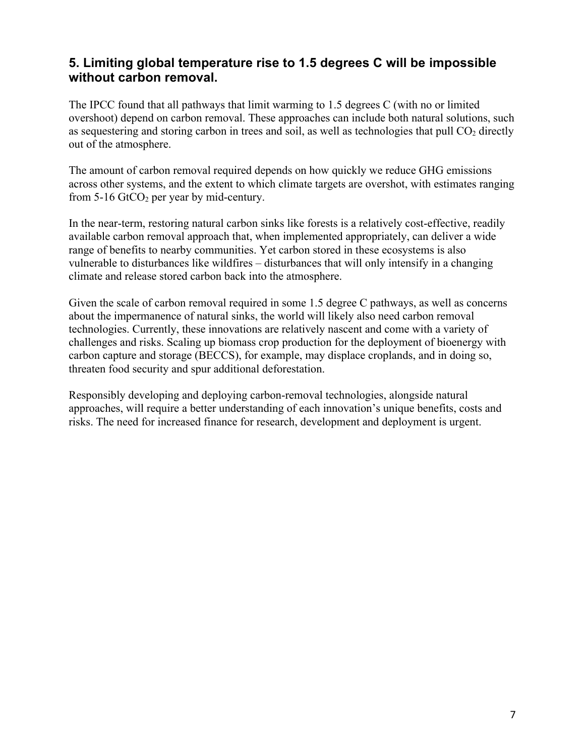### **5. Limiting global temperature rise to 1.5 degrees C will be impossible without carbon removal.**

The IPCC found that all pathways that limit warming to 1.5 degrees C (with no or limited overshoot) depend on carbon removal. These approaches can include both natural solutions, such as sequestering and storing carbon in trees and soil, as well as technologies that pull  $CO<sub>2</sub>$  directly out of the atmosphere.

The amount of carbon removal required depends on how quickly we reduce GHG emissions across other systems, and the extent to which climate targets are overshot, with estimates ranging from  $5-16$  GtCO<sub>2</sub> per year by mid-century.

In the near-term, restoring natural carbon sinks like forests is a relatively cost-effective, readily available carbon removal approach that, when implemented appropriately, can deliver a wide range of benefits to nearby communities. Yet carbon stored in these ecosystems is also vulnerable to disturbances like wildfires – disturbances that will only intensify in a changing climate and release stored carbon back into the atmosphere.

Given the scale of carbon removal required in some 1.5 degree C pathways, as well as concerns about the impermanence of natural sinks, the world will likely also need carbon removal technologies. Currently, these innovations are relatively nascent and come with a variety of challenges and risks. Scaling up biomass crop production for the deployment of bioenergy with carbon capture and storage (BECCS), for example, may displace croplands, and in doing so, threaten food security and spur additional deforestation.

Responsibly developing and deploying carbon-removal technologies, alongside natural approaches, will require a better understanding of each innovation's unique benefits, costs and risks. The need for increased finance for research, development and deployment is urgent.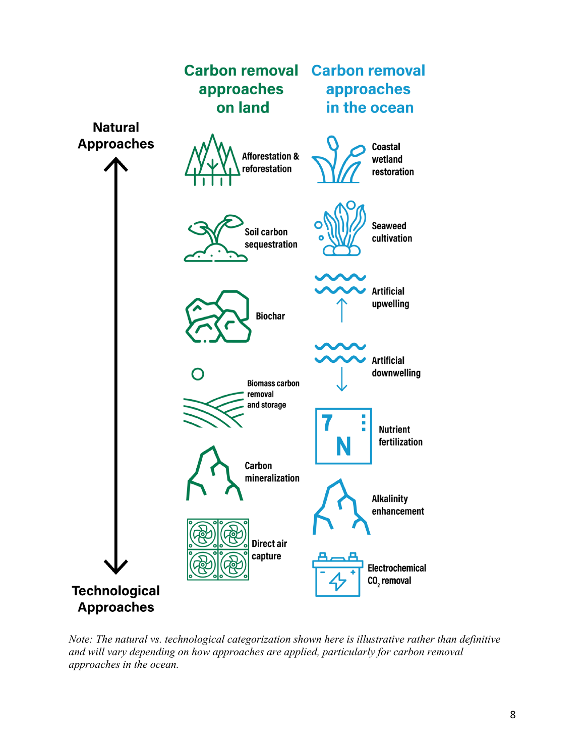

*Note: The natural vs. technological categorization shown here is illustrative rather than definitive and will vary depending on how approaches are applied, particularly for carbon removal approaches in the ocean.*